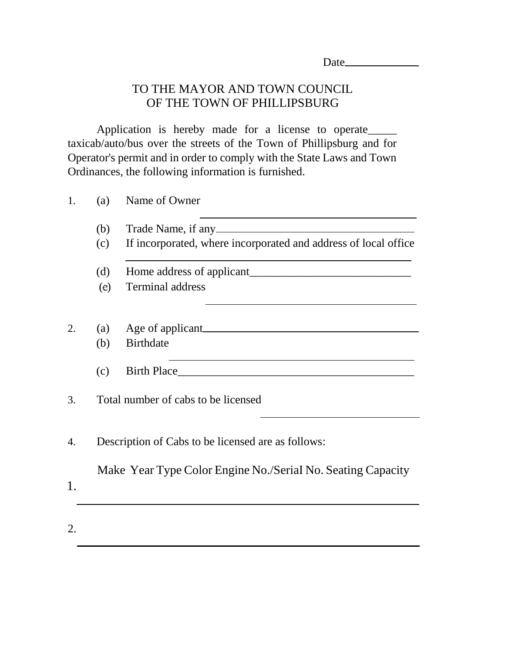| Date |  |  |
|------|--|--|
|      |  |  |

# TO THE MAYOR AND TOWN COUNCIL OF THE TOWN OF PHILLIPSBURG

Application is hereby made for a license to operate\_\_\_\_\_ taxicab/auto/bus over the streets of the Town of Phillipsburg and for Operator's permit and in order to comply with the State Laws and Town Ordinances, the following information is furnished.

| 1. | (a)                                                         | Name of Owner                                                   |  |  |
|----|-------------------------------------------------------------|-----------------------------------------------------------------|--|--|
|    | (b)                                                         |                                                                 |  |  |
|    | (c)                                                         | If incorporated, where incorporated and address of local office |  |  |
|    | (d)                                                         |                                                                 |  |  |
|    | (e)                                                         | Terminal address                                                |  |  |
|    |                                                             |                                                                 |  |  |
| 2. | (a)                                                         |                                                                 |  |  |
|    | (b)                                                         | <b>Birthdate</b>                                                |  |  |
|    | (c)                                                         | Birth Place                                                     |  |  |
| 3. |                                                             | Total number of cabs to be licensed                             |  |  |
| 4. | Description of Cabs to be licensed are as follows:          |                                                                 |  |  |
| 1. | Make Year Type Color Engine No./Serial No. Seating Capacity |                                                                 |  |  |
| 2. |                                                             |                                                                 |  |  |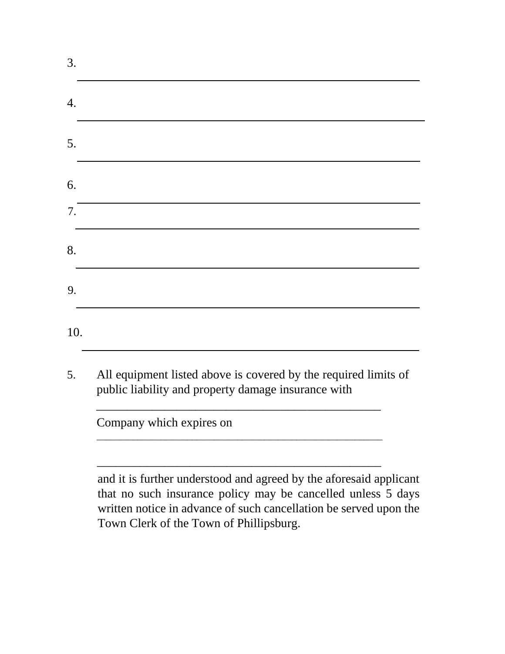| 10. |                                                                                                                                                                                                         |
|-----|---------------------------------------------------------------------------------------------------------------------------------------------------------------------------------------------------------|
|     | All equipment listed above is covered by the required limits of<br>public liability and property damage insurance with                                                                                  |
|     | Company which expires on                                                                                                                                                                                |
|     |                                                                                                                                                                                                         |
|     | and it is further understood and agreed by the aforesaid applicant<br>that no such insurance policy may be cancelled unless 5 days<br>written notice in advance of such cancellation be served upon the |

Town Clerk of the Town of Phillipsburg.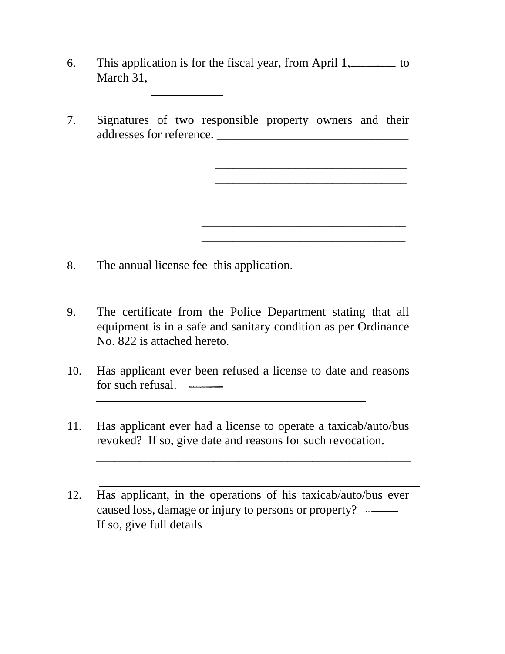- 6. This application is for the fiscal year, from April 1, to March 31.
- 7. Signatures of two responsible property owners and their addresses for reference. \_\_\_\_\_\_\_\_\_\_\_\_\_\_\_\_\_\_\_\_\_\_\_\_\_\_\_\_\_\_\_

\_\_\_\_\_\_\_\_\_\_\_\_\_\_\_\_\_\_\_\_\_\_\_\_\_\_\_\_\_\_\_ \_\_\_\_\_\_\_\_\_\_\_\_\_\_\_\_\_\_\_\_\_\_\_\_\_\_\_\_\_\_\_

\_\_\_\_\_\_\_\_\_\_\_\_\_\_\_\_\_\_\_\_\_\_\_\_\_\_\_\_\_\_\_\_\_

\_\_\_\_\_\_\_\_\_\_\_\_\_\_\_\_\_\_\_\_\_\_\_\_\_\_\_\_\_\_\_\_\_

 $\overline{\phantom{a}}$  , which is a set of the set of the set of the set of the set of the set of the set of the set of the set of the set of the set of the set of the set of the set of the set of the set of the set of the set of th

8. The annual license fee this application.

- 9. The certificate from the Police Department stating that all equipment is in a safe and sanitary condition as per Ordinance No. 822 is attached hereto.
- 10. Has applicant ever been refused a license to date and reasons for such refusal.
- 11. Has applicant ever had a license to operate a taxicab/auto/bus revoked? If so, give date and reasons for such revocation.

\_\_\_\_\_\_\_\_\_\_\_\_\_\_\_\_\_\_\_\_\_\_\_\_\_\_\_\_\_\_\_\_\_\_\_\_\_\_\_\_\_\_\_\_\_\_\_\_\_\_\_

\_\_\_\_\_\_\_\_\_\_\_\_\_\_\_\_\_\_\_\_\_\_\_\_\_\_\_\_\_\_\_\_\_\_\_\_\_\_\_\_\_\_\_\_\_\_\_\_\_\_\_\_

12. Has applicant, in the operations of his taxicab/auto/bus ever caused loss, damage or injury to persons or property? If so, give full details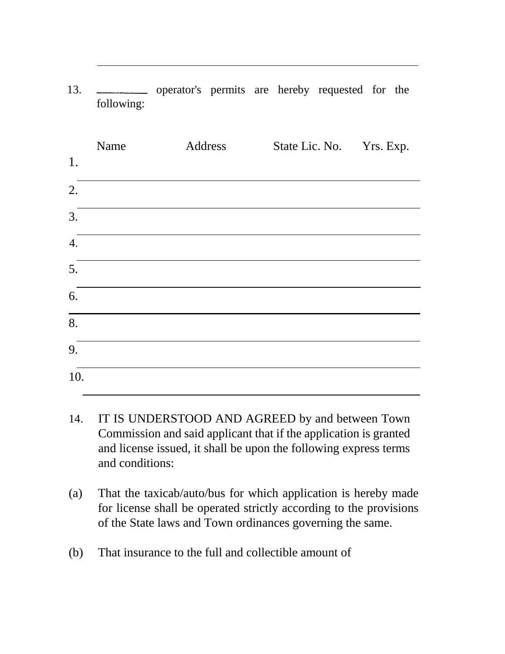| 1.               | Name | Address | State Lic. No. Yrs. Exp. |  |
|------------------|------|---------|--------------------------|--|
| 2.               |      |         |                          |  |
| 3.               |      |         |                          |  |
| $\overline{4}$ . |      |         |                          |  |
| 5.               |      |         |                          |  |
| 6.               |      |         |                          |  |
| $\overline{8}$ . |      |         |                          |  |
| 9.               |      |         |                          |  |
| 10.              |      |         |                          |  |

13. operator's permits are hereby requested for the following:

- 14. IT IS UNDERSTOOD AND AGREED by and between Town Commission and said applicant that if the application is granted and license issued, it shall be upon the following express terms and conditions:
- (a) That the taxicab/auto/bus for which application is hereby made for license shall be operated strictly according to the provisions of the State laws and Town ordinances governing the same.
- (b) That insurance to the full and collectible amount of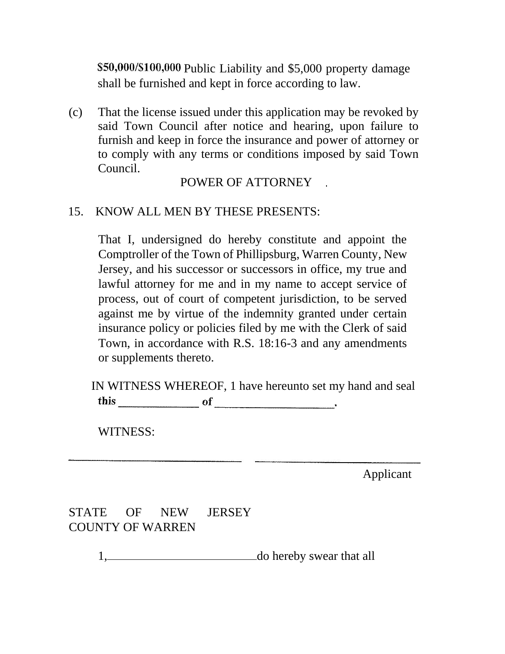\$50,000/\$100,000 Public Liability and \$5,000 property damage shall be furnished and kept in force according to law.

(c) That the license issued under this application may be revoked by said Town Council after notice and hearing, upon failure to furnish and keep in force the insurance and power of attorney or to comply with any terms or conditions imposed by said Town Council.

### POWER OF ATTORNEY

#### 15. KNOW ALL MEN BY THESE PRESENTS:

That I, undersigned do hereby constitute and appoint the Comptroller of the Town of Phillipsburg, Warren County, New Jersey, and his successor or successors in office, my true and lawful attorney for me and in my name to accept service of process, out of court of competent jurisdiction, to be served against me by virtue of the indemnity granted under certain insurance policy or policies filed by me with the Clerk of said Town, in accordance with R.S. 18:16-3 and any amendments or supplements thereto.

IN WITNESS WHEREOF, 1 have hereunto set my hand and seal 

WITNESS:

Applicant

## STATE OF NEW JERSEY COUNTY OF WARREN

1, do hereby swear that all